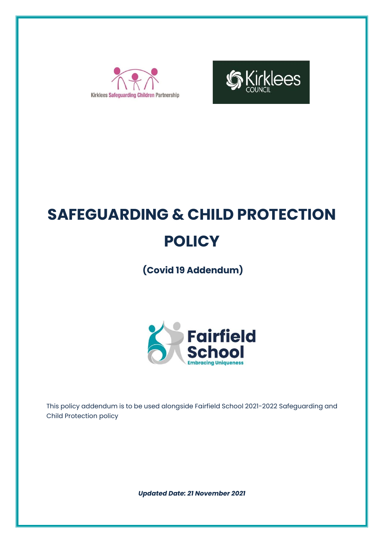



# **SAFEGUARDING & CHILD PROTECTION POLICY**

**(Covid 19 Addendum)**



This policy addendum is to be used alongside Fairfield School 2021-2022 Safeguarding and Child Protection policy

*Updated Date: 21 November 2021*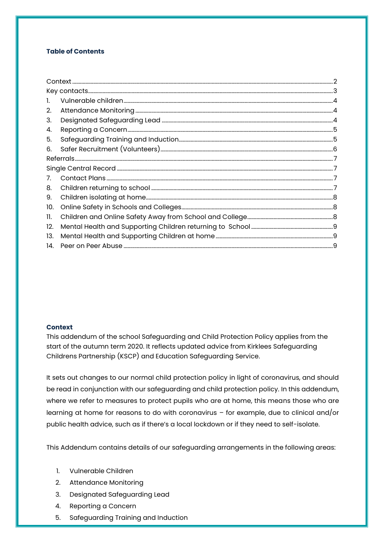## **Table of Contents**

| 2.  |  |  |  |  |  |
|-----|--|--|--|--|--|
| 3.  |  |  |  |  |  |
| 4.  |  |  |  |  |  |
| 5.  |  |  |  |  |  |
| 6.  |  |  |  |  |  |
|     |  |  |  |  |  |
|     |  |  |  |  |  |
|     |  |  |  |  |  |
| 8.  |  |  |  |  |  |
| 9.  |  |  |  |  |  |
| 10. |  |  |  |  |  |
| 11. |  |  |  |  |  |
| 12. |  |  |  |  |  |
| 13. |  |  |  |  |  |
| 14. |  |  |  |  |  |

#### <span id="page-1-0"></span>**Context**

This addendum of the school Safeguarding and Child Protection Policy applies from the start of the autumn term 2020. It reflects updated advice from Kirklees Safeguarding Childrens Partnership (KSCP) and Education Safeguarding Service.

It sets out changes to our normal child protection policy in light of coronavirus, and should be read in conjunction with our safeguarding and child protection policy. In this addendum, where we refer to measures to protect pupils who are at home, this means those who are learning at home for reasons to do with coronavirus – for example, due to clinical and/or public health advice, such as if there's a local lockdown or if they need to self-isolate.

This Addendum contains details of our safeguarding arrangements in the following areas:

- 1. Vulnerable Children
- 2. Attendance Monitoring
- 3. Designated Safeguarding Lead
- 4. Reporting a Concern
- 5. Safeguarding Training and Induction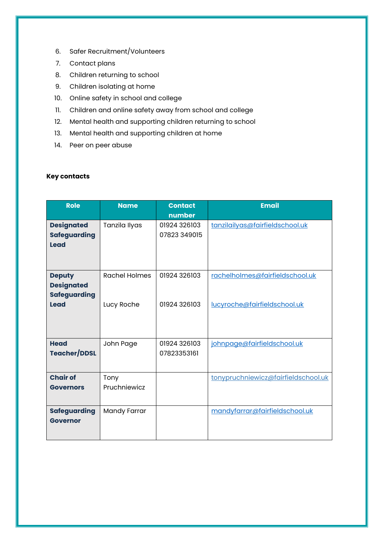- 6. Safer Recruitment/Volunteers
- 7. Contact plans
- 8. Children returning to school
- 9. Children isolating at home
- 10. Online safety in school and college
- 11. Children and online safety away from school and college
- 12. Mental health and supporting children returning to school
- 13. Mental health and supporting children at home
- 14. Peer on peer abuse

# <span id="page-2-0"></span>**Key contacts**

| <b>Role</b>                                                       | <b>Name</b>                        | <b>Contact</b><br>number     | <b>Email</b>                                                    |
|-------------------------------------------------------------------|------------------------------------|------------------------------|-----------------------------------------------------------------|
| <b>Designated</b><br><b>Safeguarding</b><br><b>Lead</b>           | Tanzila Ilyas                      | 01924 326103<br>07823 349015 | tanzilailyas@fairfieldschool.uk                                 |
| <b>Deputy</b><br><b>Designated</b><br><b>Safeguarding</b><br>Lead | <b>Rachel Holmes</b><br>Lucy Roche | 01924 326103<br>01924 326103 | rachelholmes@fairfieldschool.uk<br>lucyroche@fairfieldschool.uk |
| <b>Head</b><br><b>Teacher/DDSL</b>                                | John Page                          | 01924 326103<br>07823353161  | johnpage@fairfieldschool.uk                                     |
| <b>Chair of</b><br><b>Governors</b>                               | Tony<br>Pruchniewicz               |                              | tonypruchniewicz@fairfieldschool.uk                             |
| <b>Safeguarding</b><br><b>Governor</b>                            | Mandy Farrar                       |                              | mandyfarrar@fairfieldschool.uk                                  |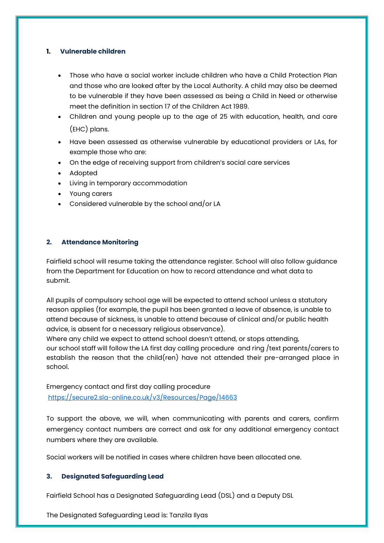## <span id="page-3-0"></span>**1. Vulnerable children**

- Those who have a social worker include children who have a Child Protection Plan and those who are looked after by the Local Authority. A child may also be deemed to be vulnerable if they have been assessed as being a Child in Need or otherwise meet the definition in section 17 of the Children Act 1989.
- Children and young people up to the age of 25 with education, health, and care (EHC) plans.
- Have been assessed as otherwise vulnerable by educational providers or LAs, for example those who are:
- On the edge of receiving support from children's social care services
- Adopted
- Living in temporary accommodation
- Young carers
- Considered vulnerable by the school and/or LA

# <span id="page-3-1"></span>**2. Attendance Monitoring**

Fairfield school will resume taking the attendance register. School will also follow guidance from the Department for Education on how to record attendance and what data to submit.

All pupils of compulsory school age will be expected to attend school unless a statutory reason applies (for example, the pupil has been granted a leave of absence, is unable to attend because of sickness, is unable to attend because of clinical and/or public health advice, is absent for a necessary religious observance).

Where any child we expect to attend school doesn't attend, or stops attending, our school staff will follow the LA first day calling procedure and ring /text parents/carers to establish the reason that the child(ren) have not attended their pre-arranged place in school.

Emergency contact and first day calling procedure <https://secure2.sla-online.co.uk/v3/Resources/Page/14663>

To support the above, we will, when communicating with parents and carers, confirm emergency contact numbers are correct and ask for any additional emergency contact numbers where they are available.

Social workers will be notified in cases where children have been allocated one.

#### <span id="page-3-2"></span>**3. Designated Safeguarding Lead**

Fairfield School has a Designated Safeguarding Lead (DSL) and a Deputy DSL

The Designated Safeguarding Lead is: Tanzila Ilyas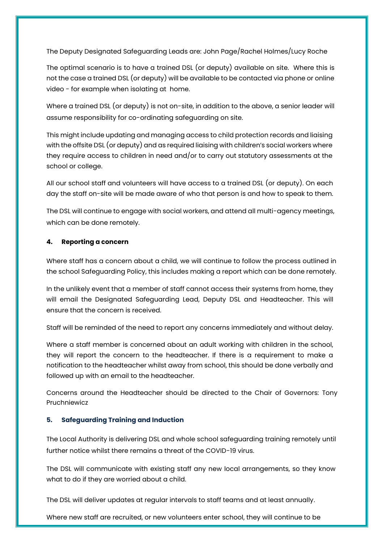The Deputy Designated Safeguarding Leads are: John Page/Rachel Holmes/Lucy Roche

The optimal scenario is to have a trained DSL (or deputy) available on site. Where this is not the case a trained DSL (or deputy) will be available to be contacted via phone or online video - for example when isolating at home.

Where a trained DSL (or deputy) is not on-site, in addition to the above, a senior leader will assume responsibility for co-ordinating safeguarding on site.

This might include updating and managing access to child protection records and liaising with the offsite DSL (or deputy) and as required liaising with children's social workers where they require access to children in need and/or to carry out statutory assessments at the school or college.

All our school staff and volunteers will have access to a trained DSL (or deputy). On each day the staff on-site will be made aware of who that person is and how to speak to them.

The DSL will continue to engage with social workers, and attend all multi-agency meetings, which can be done remotely.

# <span id="page-4-0"></span>**4. Reporting a concern**

Where staff has a concern about a child, we will continue to follow the process outlined in the school Safeguarding Policy, this includes making a report which can be done remotely.

In the unlikely event that a member of staff cannot access their systems from home, they will email the Designated Safeguarding Lead, Deputy DSL and Headteacher. This will ensure that the concern is received.

Staff will be reminded of the need to report any concerns immediately and without delay.

Where a staff member is concerned about an adult working with children in the school, they will report the concern to the headteacher. If there is a requirement to make a notification to the headteacher whilst away from school, this should be done verbally and followed up with an email to the headteacher.

Concerns around the Headteacher should be directed to the Chair of Governors: Tony Pruchniewicz

# <span id="page-4-1"></span>**5. Safeguarding Training and Induction**

The Local Authority is delivering DSL and whole school safeguarding training remotely until further notice whilst there remains a threat of the COVID-19 virus.

The DSL will communicate with existing staff any new local arrangements, so they know what to do if they are worried about a child.

The DSL will deliver updates at regular intervals to staff teams and at least annually.

Where new staff are recruited, or new volunteers enter school, they will continue to be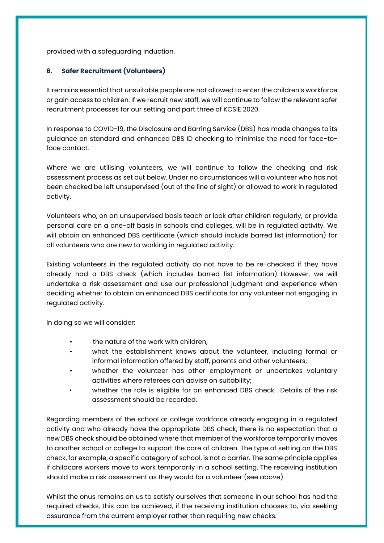provided with a safeguarding induction.

# <span id="page-5-0"></span>**6. Safer Recruitment (Volunteers)**

It remains essential that unsuitable people are not allowed to enter the children's workforce or gain access to children. If we recruit new staff, we will continue to follow the relevant safer recruitment processes for our setting and part three of KCSIE 2020.

In response to COVID-19, the Disclosure and Barring Service (DBS) has made changes to its guidance on standard and enhanced DBS ID checking to minimise the need for face-toface contact.

Where we are utilising volunteers, we will continue to follow the checking and risk assessment process as set out below. Under no circumstances will a volunteer who has not been checked be left unsupervised (out of the line of sight) or allowed to work in regulated activity.

Volunteers who, on an unsupervised basis teach or look after children regularly, or provide personal care on a one-off basis in schools and colleges, will be in regulated activity. We will obtain an enhanced DBS certificate (which should include barred list information) for all volunteers who are new to working in regulated activity.

Existing volunteers in the regulated activity do not have to be re-checked if they have already had a DBS check (which includes barred list information). However, we will undertake a risk assessment and use our professional judgment and experience when deciding whether to obtain an enhanced DBS certificate for any volunteer not engaging in regulated activity.

In doing so we will consider:

- the nature of the work with children;
- what the establishment knows about the volunteer, including formal or informal information offered by staff, parents and other volunteers;
- whether the volunteer has other employment or undertakes voluntary activities where referees can advise on suitability;
- whether the role is eligible for an enhanced DBS check. Details of the risk assessment should be recorded.

Regarding members of the school or college workforce already engaging in a regulated activity and who already have the appropriate DBS check, there is no expectation that a new DBS check should be obtained where that member of the workforce temporarily moves to another school or college to support the care of children. The type of setting on the DBS check, for example, a specific category of school, is not a barrier. The same principle applies if childcare workers move to work temporarily in a school setting. The receiving institution should make a risk assessment as they would for a volunteer (see above).

Whilst the onus remains on us to satisfy ourselves that someone in our school has had the required checks, this can be achieved, if the receiving institution chooses to, via seeking assurance from the current employer rather than requiring new checks.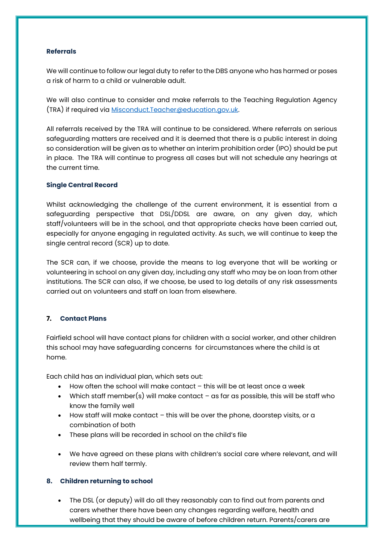## <span id="page-6-0"></span>**Referrals**

We will continue to follow our legal duty to refer to the DBS anyone who has harmed or poses a risk of harm to a child or vulnerable adult.

We will also continue to consider and make referrals to the Teaching Regulation Agency (TRA) if required via [Misconduct.Teacher@education.gov.uk.](mailto:Misconduct.Teacher@education.gov.uk) 

All referrals received by the TRA will continue to be considered. Where referrals on serious safeguarding matters are received and it is deemed that there is a public interest in doing so consideration will be given as to whether an interim prohibition order (IPO) should be put in place. The TRA will continue to progress all cases but will not schedule any hearings at the current time.

## <span id="page-6-1"></span>**Single Central Record**

Whilst acknowledging the challenge of the current environment, it is essential from a safeguarding perspective that DSL/DDSL are aware, on any given day, which staff/volunteers will be in the school, and that appropriate checks have been carried out, especially for anyone engaging in regulated activity. As such, we will continue to keep the single central record (SCR) up to date.

The SCR can, if we choose, provide the means to log everyone that will be working or volunteering in school on any given day, including any staff who may be on loan from other institutions. The SCR can also, if we choose, be used to log details of any risk assessments carried out on volunteers and staff on loan from elsewhere.

# <span id="page-6-2"></span>**7. Contact Plans**

Fairfield school will have contact plans for children with a social worker, and other children this school may have safeguarding concerns for circumstances where the child is at home.

Each child has an individual plan, which sets out:

- How often the school will make contact this will be at least once a week
- Which staff member(s) will make contact as far as possible, this will be staff who know the family well
- How staff will make contact this will be over the phone, doorstep visits, or a combination of both
- These plans will be recorded in school on the child's file
- We have agreed on these plans with children's social care where relevant, and will review them half termly.

# <span id="page-6-3"></span>**8. Children returning to school**

• The DSL (or deputy) will do all they reasonably can to find out from parents and carers whether there have been any changes regarding welfare, health and wellbeing that they should be aware of before children return. Parents/carers are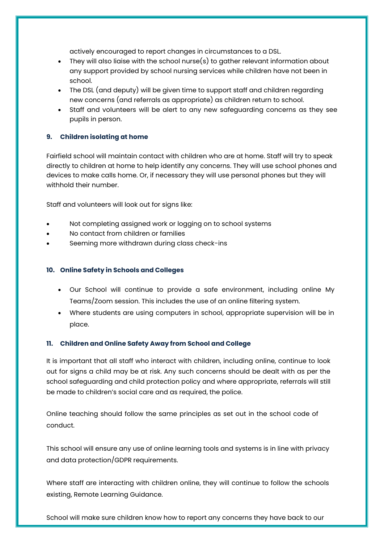actively encouraged to report changes in circumstances to a DSL.

- They will also liaise with the school nurse(s) to gather relevant information about any support provided by school nursing services while children have not been in school.
- The DSL (and deputy) will be given time to support staff and children regarding new concerns (and referrals as appropriate) as children return to school.
- Staff and volunteers will be alert to any new safeguarding concerns as they see pupils in person.

# <span id="page-7-0"></span>**9. Children isolating at home**

Fairfield school will maintain contact with children who are at home. Staff will try to speak directly to children at home to help identify any concerns. They will use school phones and devices to make calls home. Or, if necessary they will use personal phones but they will withhold their number.

Staff and volunteers will look out for signs like:

- Not completing assigned work or logging on to school systems
- No contact from children or families
- Seeming more withdrawn during class check-ins

# <span id="page-7-1"></span>**10. Online Safety in Schools and Colleges**

- Our School will continue to provide a safe environment, including online My Teams/Zoom session. This includes the use of an online filtering system.
- Where students are using computers in school, appropriate supervision will be in place.

# <span id="page-7-2"></span>**11. Children and Online Safety Away from School and College**

It is important that all staff who interact with children, including online, continue to look out for signs a child may be at risk. Any such concerns should be dealt with as per the school safeguarding and child protection policy and where appropriate, referrals will still be made to children's social care and as required, the police.

Online teaching should follow the same principles as set out in the school code of conduct.

This school will ensure any use of online learning tools and systems is in line with privacy and data protection/GDPR requirements.

Where staff are interacting with children online, they will continue to follow the schools existing, Remote Learning Guidance.

School will make sure children know how to report any concerns they have back to our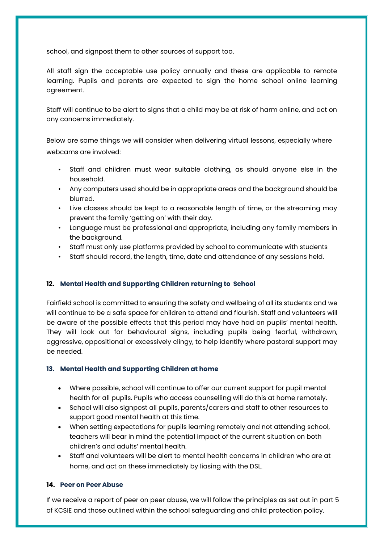school, and signpost them to other sources of support too.

All staff sign the acceptable use policy annually and these are applicable to remote learning. Pupils and parents are expected to sign the home school online learning agreement.

Staff will continue to be alert to signs that a child may be at risk of harm online, and act on any concerns immediately.

Below are some things we will consider when delivering virtual lessons, especially where webcams are involved:

- Staff and children must wear suitable clothing, as should anyone else in the household.
- Any computers used should be in appropriate areas and the background should be blurred.
- Live classes should be kept to a reasonable length of time, or the streaming may prevent the family 'getting on' with their day.
- Language must be professional and appropriate, including any family members in the background.
- Staff must only use platforms provided by school to communicate with students
- Staff should record, the length, time, date and attendance of any sessions held.

# <span id="page-8-0"></span>**12. Mental Health and Supporting Children returning to School**

Fairfield school is committed to ensuring the safety and wellbeing of all its students and we will continue to be a safe space for children to attend and flourish. Staff and volunteers will be aware of the possible effects that this period may have had on pupils' mental health. They will look out for behavioural signs, including pupils being fearful, withdrawn, aggressive, oppositional or excessively clingy, to help identify where pastoral support may be needed.

#### <span id="page-8-1"></span>**13. Mental Health and Supporting Children at home**

- Where possible, school will continue to offer our current support for pupil mental health for all pupils. Pupils who access counselling will do this at home remotely.
- School will also signpost all pupils, parents/carers and staff to other resources to support good mental health at this time.
- When setting expectations for pupils learning remotely and not attending school, teachers will bear in mind the potential impact of the current situation on both children's and adults' mental health.
- Staff and volunteers will be alert to mental health concerns in children who are at home, and act on these immediately by liasing with the DSL.

#### <span id="page-8-2"></span>**14. Peer on Peer Abuse**

If we receive a report of peer on peer abuse, we will follow the principles as set out in part 5 of KCSIE and those outlined within the school safeguarding and child protection policy.